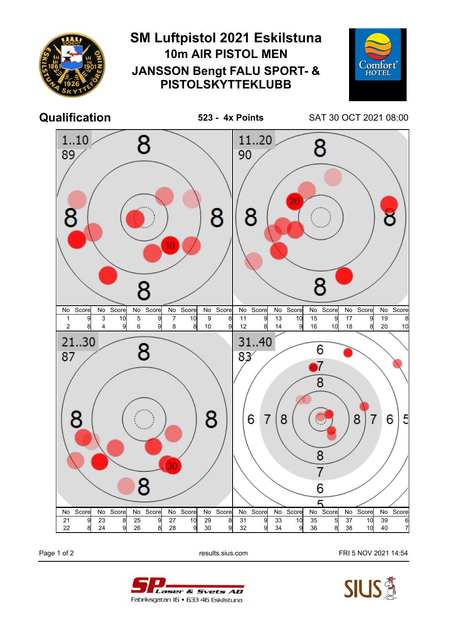

Page 1 of 2 **Page 1 of 2** results.sius.com FRI 5 NOV 2021 14:54